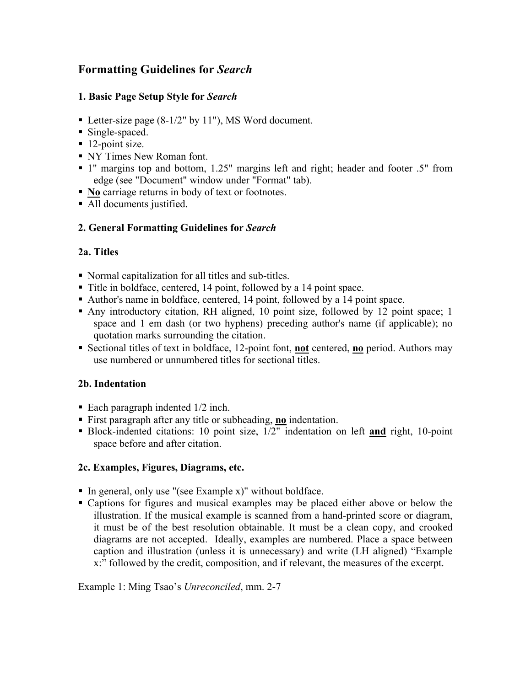# **Formatting Guidelines for** *Search*

# **1. Basic Page Setup Style for** *Search*

- Letter-size page (8-1/2" by 11"), MS Word document.
- Single-spaced.
- $\blacksquare$  12-point size.
- NY Times New Roman font.
- 1" margins top and bottom, 1.25" margins left and right; header and footer .5" from edge (see "Document" window under "Format" tab).
- **No** carriage returns in body of text or footnotes.
- All documents justified.

# **2. General Formatting Guidelines for** *Search*

# **2a. Titles**

- Normal capitalization for all titles and sub-titles.
- Title in boldface, centered, 14 point, followed by a 14 point space.
- Author's name in boldface, centered, 14 point, followed by a 14 point space.
- Any introductory citation, RH aligned, 10 point size, followed by 12 point space; 1 space and 1 em dash (or two hyphens) preceding author's name (if applicable); no quotation marks surrounding the citation.
- Sectional titles of text in boldface, 12-point font, **not** centered, **no** period. Authors may use numbered or unnumbered titles for sectional titles.

# **2b. Indentation**

- Each paragraph indented  $1/2$  inch.
- First paragraph after any title or subheading, **no** indentation.
- Block-indented citations: 10 point size,  $1/2$ <sup>"</sup> indentation on left **and** right, 10-point space before and after citation.

# **2c. Examples, Figures, Diagrams, etc.**

- $\blacksquare$  In general, only use "(see Example x)" without boldface.
- Captions for figures and musical examples may be placed either above or below the illustration. If the musical example is scanned from a hand-printed score or diagram, it must be of the best resolution obtainable. It must be a clean copy, and crooked diagrams are not accepted. Ideally, examples are numbered. Place a space between caption and illustration (unless it is unnecessary) and write (LH aligned) "Example x:" followed by the credit, composition, and if relevant, the measures of the excerpt.

Example 1: Ming Tsao's *Unreconciled*, mm. 2-7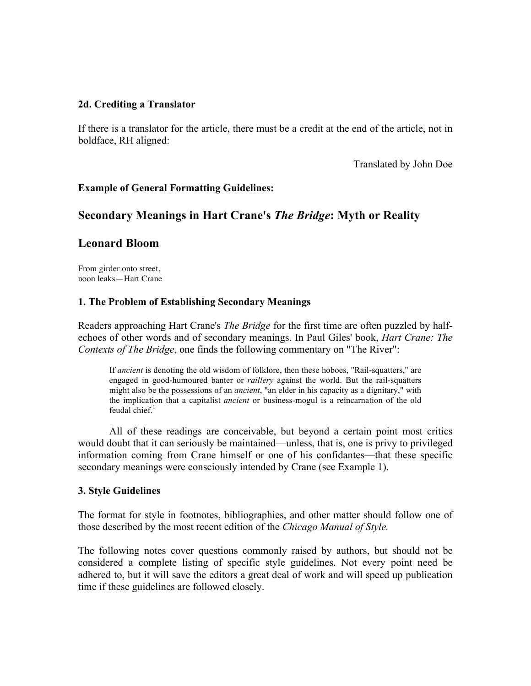#### **2d. Crediting a Translator**

If there is a translator for the article, there must be a credit at the end of the article, not in boldface, RH aligned:

Translated by John Doe

#### **Example of General Formatting Guidelines:**

# **Secondary Meanings in Hart Crane's** *The Bridge***: Myth or Reality**

# **Leonard Bloom**

From girder onto street, noon leaks—Hart Crane

#### **1. The Problem of Establishing Secondary Meanings**

Readers approaching Hart Crane's *The Bridge* for the first time are often puzzled by halfechoes of other words and of secondary meanings. In Paul Giles' book, *Hart Crane: The Contexts of The Bridge*, one finds the following commentary on "The River":

If *ancient* is denoting the old wisdom of folklore, then these hoboes, "Rail-squatters," are engaged in good-humoured banter or *raillery* against the world. But the rail-squatters might also be the possessions of an *ancient*, "an elder in his capacity as a dignitary," with the implication that a capitalist *ancient* or business-mogul is a reincarnation of the old feudal chief. $1$ 

All of these readings are conceivable, but beyond a certain point most critics would doubt that it can seriously be maintained—unless, that is, one is privy to privileged information coming from Crane himself or one of his confidantes—that these specific secondary meanings were consciously intended by Crane (see Example 1).

#### **3. Style Guidelines**

The format for style in footnotes, bibliographies, and other matter should follow one of those described by the most recent edition of the *Chicago Manual of Style.*

The following notes cover questions commonly raised by authors, but should not be considered a complete listing of specific style guidelines. Not every point need be adhered to, but it will save the editors a great deal of work and will speed up publication time if these guidelines are followed closely.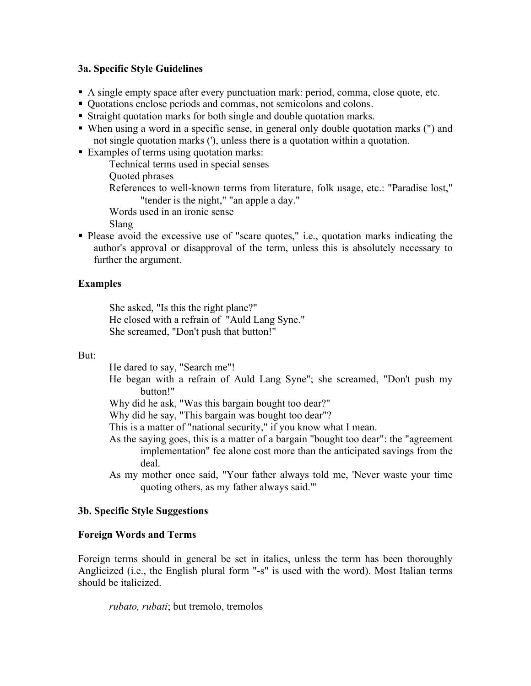#### **3a. Specific Style Guidelines**

- A single empty space after every punctuation mark: period, comma, close quote, etc.
- Quotations enclose periods and commas, not semicolons and colons.
- Straight quotation marks for both single and double quotation marks.
- When using a word in a specific sense, in general only double quotation marks (") and not single quotation marks ('), unless there is a quotation within a quotation.
- Examples of terms using quotation marks:

Technical terms used in special senses

Quoted phrases

References to well-known terms from literature, folk usage, etc.: "Paradise lost," "tender is the night," "an apple a day."

Words used in an ironic sense

Slang

• Please avoid the excessive use of "scare quotes," i.e., quotation marks indicating the author's approval or disapproval of the term, unless this is absolutely necessary to further the argument.

### **Examples**

She asked, "Is this the right plane?" He closed with a refrain of "Auld Lang Syne." She screamed, "Don't push that button!"

#### But:

He dared to say, "Search me"!

He began with a refrain of Auld Lang Syne"; she screamed, "Don't push my button!"

Why did he ask, "Was this bargain bought too dear?"

Why did he say, "This bargain was bought too dear"?

This is a matter of "national security," if you know what I mean.

- As the saying goes, this is a matter of a bargain "bought too dear": the "agreement implementation" fee alone cost more than the anticipated savings from the deal.
- As my mother once said, "Your father always told me, 'Never waste your time quoting others, as my father always said.'"

#### **3b. Specific Style Suggestions**

#### **Foreign Words and Terms**

Foreign terms should in general be set in italics, unless the term has been thoroughly Anglicized (i.e., the English plural form "-s" is used with the word). Most Italian terms should be italicized.

*rubato, rubati*; but tremolo, tremolos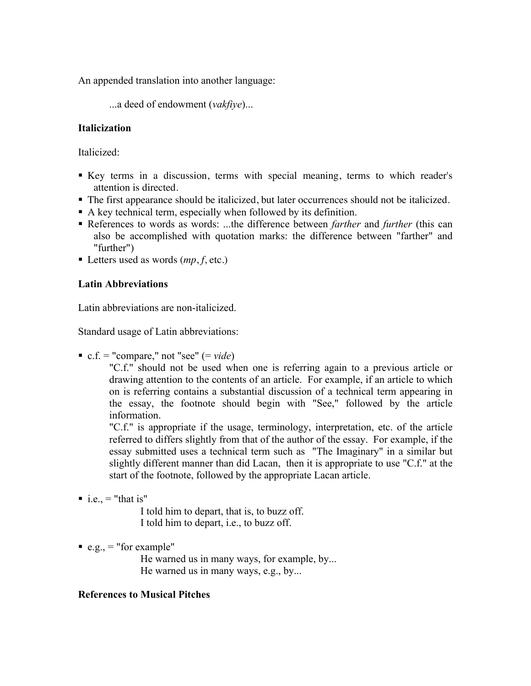An appended translation into another language:

...a deed of endowment (*vakfiye*)...

# **Italicization**

Italicized:

- Key terms in a discussion, terms with special meaning, terms to which reader's attention is directed.
- The first appearance should be italicized, but later occurrences should not be italicized.
- A key technical term, especially when followed by its definition.
- References to words as words: ...the difference between *farther* and *further* (this can also be accomplished with quotation marks: the difference between "farther" and "further")
- Letters used as words  $(mp, f, etc.)$

# **Latin Abbreviations**

Latin abbreviations are non-italicized.

Standard usage of Latin abbreviations:

c.f. = "compare," not "see"  $(= video)$ 

"C.f." should not be used when one is referring again to a previous article or drawing attention to the contents of an article. For example, if an article to which on is referring contains a substantial discussion of a technical term appearing in the essay, the footnote should begin with "See," followed by the article information.

"C.f." is appropriate if the usage, terminology, interpretation, etc. of the article referred to differs slightly from that of the author of the essay. For example, if the essay submitted uses a technical term such as "The Imaginary" in a similar but slightly different manner than did Lacan, then it is appropriate to use "C.f." at the start of the footnote, followed by the appropriate Lacan article.

 $\blacksquare$  i.e., = "that is"

I told him to depart, that is, to buzz off. I told him to depart, i.e., to buzz off.

 $e.g., = "for example"$ 

He warned us in many ways, for example, by... He warned us in many ways, e.g., by...

# **References to Musical Pitches**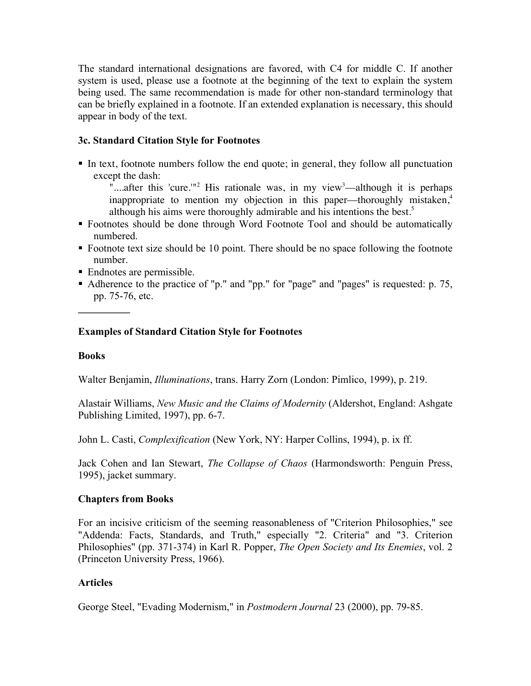The standard international designations are favored, with C4 for middle C. If another system is used, please use a footnote at the beginning of the text to explain the system being used. The same recommendation is made for other non-standard terminology that can be briefly explained in a footnote. If an extended explanation is necessary, this should appear in body of the text.

# **3c. Standard Citation Style for Footnotes**

In text, footnote numbers follow the end quote; in general, they follow all punctuation except the dash:

"....after this 'cure."<sup>2</sup> His rationale was, in my view<sup>3</sup>—although it is perhaps inappropriate to mention my objection in this paper—thoroughly mistaken, $4$ although his aims were thoroughly admirable and his intentions the best.<sup>5</sup>

- Footnotes should be done through Word Footnote Tool and should be automatically numbered.
- Footnote text size should be 10 point. There should be no space following the footnote number.
- Endnotes are permissible.
- Adherence to the practice of "p." and "pp." for "page" and "pages" is requested: p. 75, pp. 75-76, etc.

### **Examples of Standard Citation Style for Footnotes**

#### **Books**

**\_\_\_\_\_\_\_\_\_\_**

Walter Benjamin, *Illuminations*, trans. Harry Zorn (London: Pimlico, 1999), p. 219.

Alastair Williams, *New Music and the Claims of Modernity* (Aldershot, England: Ashgate Publishing Limited, 1997), pp. 6-7.

John L. Casti, *Complexification* (New York, NY: Harper Collins, 1994), p. ix ff.

Jack Cohen and Ian Stewart, *The Collapse of Chaos* (Harmondsworth: Penguin Press, 1995), jacket summary.

#### **Chapters from Books**

For an incisive criticism of the seeming reasonableness of "Criterion Philosophies," see "Addenda: Facts, Standards, and Truth," especially "2. Criteria" and "3. Criterion Philosophies" (pp. 371-374) in Karl R. Popper, *The Open Society and Its Enemies*, vol. 2 (Princeton University Press, 1966).

#### **Articles**

George Steel, "Evading Modernism," in *Postmodern Journal* 23 (2000), pp. 79-85.